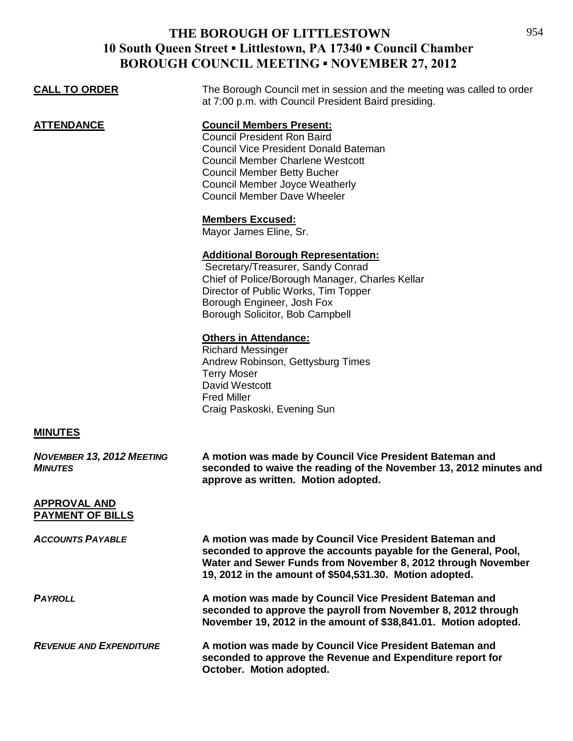| <b>CALL TO ORDER</b>                               | The Borough Council met in session and the meeting was called to order<br>at 7:00 p.m. with Council President Baird presiding.                                                                                                                                                        |
|----------------------------------------------------|---------------------------------------------------------------------------------------------------------------------------------------------------------------------------------------------------------------------------------------------------------------------------------------|
| <b>ATTENDANCE</b>                                  | <b>Council Members Present:</b><br><b>Council President Ron Baird</b><br><b>Council Vice President Donald Bateman</b><br><b>Council Member Charlene Westcott</b><br><b>Council Member Betty Bucher</b><br><b>Council Member Joyce Weatherly</b><br><b>Council Member Dave Wheeler</b> |
|                                                    | <b>Members Excused:</b><br>Mayor James Eline, Sr.                                                                                                                                                                                                                                     |
|                                                    | <b>Additional Borough Representation:</b><br>Secretary/Treasurer, Sandy Conrad<br>Chief of Police/Borough Manager, Charles Kellar<br>Director of Public Works, Tim Topper<br>Borough Engineer, Josh Fox<br>Borough Solicitor, Bob Campbell                                            |
|                                                    | <b>Others in Attendance:</b><br><b>Richard Messinger</b><br>Andrew Robinson, Gettysburg Times<br><b>Terry Moser</b><br>David Westcott<br><b>Fred Miller</b><br>Craig Paskoski, Evening Sun                                                                                            |
| <b>MINUTES</b>                                     |                                                                                                                                                                                                                                                                                       |
| <b>NOVEMBER 13, 2012 MEETING</b><br><b>MINUTES</b> | A motion was made by Council Vice President Bateman and<br>seconded to waive the reading of the November 13, 2012 minutes and<br>approve as written. Motion adopted.                                                                                                                  |
| <b>APPROVAL AND</b><br><b>PAYMENT OF BILLS</b>     |                                                                                                                                                                                                                                                                                       |
| <b>ACCOUNTS PAYABLE</b>                            | A motion was made by Council Vice President Bateman and<br>seconded to approve the accounts payable for the General, Pool,<br>Water and Sewer Funds from November 8, 2012 through November<br>19, 2012 in the amount of \$504,531.30. Motion adopted.                                 |
| <b>PAYROLL</b>                                     | A motion was made by Council Vice President Bateman and<br>seconded to approve the payroll from November 8, 2012 through<br>November 19, 2012 in the amount of \$38,841.01. Motion adopted.                                                                                           |
| <b>REVENUE AND EXPENDITURE</b>                     | A motion was made by Council Vice President Bateman and<br>seconded to approve the Revenue and Expenditure report for<br>October. Motion adopted.                                                                                                                                     |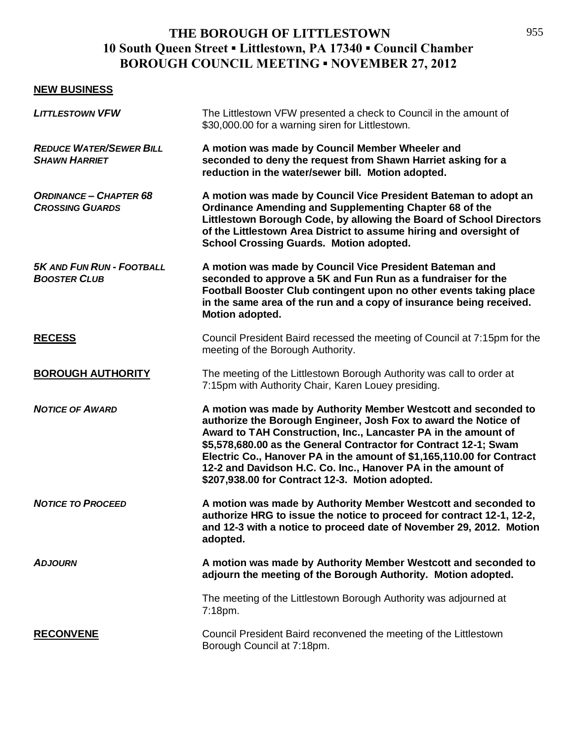#### **NEW BUSINESS**

| <b>LITTLESTOWN VFW</b>                                  | The Littlestown VFW presented a check to Council in the amount of<br>\$30,000.00 for a warning siren for Littlestown.                                                                                                                                                                                                                                                                                                                                               |
|---------------------------------------------------------|---------------------------------------------------------------------------------------------------------------------------------------------------------------------------------------------------------------------------------------------------------------------------------------------------------------------------------------------------------------------------------------------------------------------------------------------------------------------|
| <b>REDUCE WATER/SEWER BILL</b><br><b>SHAWN HARRIET</b>  | A motion was made by Council Member Wheeler and<br>seconded to deny the request from Shawn Harriet asking for a<br>reduction in the water/sewer bill. Motion adopted.                                                                                                                                                                                                                                                                                               |
| <b>ORDINANCE - CHAPTER 68</b><br><b>CROSSING GUARDS</b> | A motion was made by Council Vice President Bateman to adopt an<br>Ordinance Amending and Supplementing Chapter 68 of the<br>Littlestown Borough Code, by allowing the Board of School Directors<br>of the Littlestown Area District to assume hiring and oversight of<br><b>School Crossing Guards. Motion adopted.</b>                                                                                                                                            |
| <b>5K AND FUN RUN - FOOTBALL</b><br><b>BOOSTER CLUB</b> | A motion was made by Council Vice President Bateman and<br>seconded to approve a 5K and Fun Run as a fundraiser for the<br>Football Booster Club contingent upon no other events taking place<br>in the same area of the run and a copy of insurance being received.<br>Motion adopted.                                                                                                                                                                             |
| <b>RECESS</b>                                           | Council President Baird recessed the meeting of Council at 7:15pm for the<br>meeting of the Borough Authority.                                                                                                                                                                                                                                                                                                                                                      |
| <b>BOROUGH AUTHORITY</b>                                | The meeting of the Littlestown Borough Authority was call to order at<br>7:15pm with Authority Chair, Karen Louey presiding.                                                                                                                                                                                                                                                                                                                                        |
| <b>NOTICE OF AWARD</b>                                  | A motion was made by Authority Member Westcott and seconded to<br>authorize the Borough Engineer, Josh Fox to award the Notice of<br>Award to TAH Construction, Inc., Lancaster PA in the amount of<br>\$5,578,680.00 as the General Contractor for Contract 12-1; Swam<br>Electric Co., Hanover PA in the amount of \$1,165,110.00 for Contract<br>12-2 and Davidson H.C. Co. Inc., Hanover PA in the amount of<br>\$207,938.00 for Contract 12-3. Motion adopted. |
| <b>NOTICE TO PROCEED</b>                                | A motion was made by Authority Member Westcott and seconded to<br>authorize HRG to issue the notice to proceed for contract 12-1, 12-2,<br>and 12-3 with a notice to proceed date of November 29, 2012. Motion<br>adopted.                                                                                                                                                                                                                                          |
| <b>ADJOURN</b>                                          | A motion was made by Authority Member Westcott and seconded to<br>adjourn the meeting of the Borough Authority. Motion adopted.                                                                                                                                                                                                                                                                                                                                     |
|                                                         | The meeting of the Littlestown Borough Authority was adjourned at<br>7:18pm.                                                                                                                                                                                                                                                                                                                                                                                        |
| <b>RECONVENE</b>                                        | Council President Baird reconvened the meeting of the Littlestown<br>Borough Council at 7:18pm.                                                                                                                                                                                                                                                                                                                                                                     |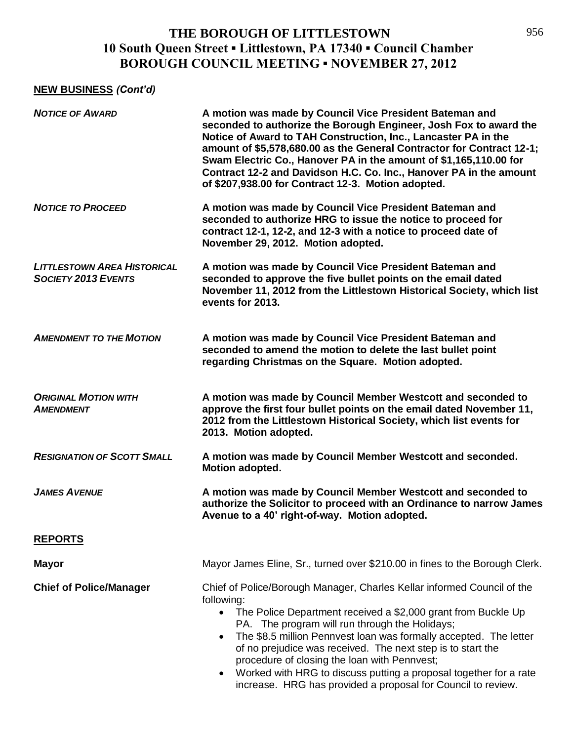#### **NEW BUSINESS** *(Cont'd)*

| <b>NOTICE OF AWARD</b>                                           | A motion was made by Council Vice President Bateman and<br>seconded to authorize the Borough Engineer, Josh Fox to award the<br>Notice of Award to TAH Construction, Inc., Lancaster PA in the<br>amount of \$5,578,680.00 as the General Contractor for Contract 12-1;<br>Swam Electric Co., Hanover PA in the amount of \$1,165,110.00 for<br>Contract 12-2 and Davidson H.C. Co. Inc., Hanover PA in the amount<br>of \$207,938.00 for Contract 12-3. Motion adopted.                                                                                                 |
|------------------------------------------------------------------|--------------------------------------------------------------------------------------------------------------------------------------------------------------------------------------------------------------------------------------------------------------------------------------------------------------------------------------------------------------------------------------------------------------------------------------------------------------------------------------------------------------------------------------------------------------------------|
| <b>NOTICE TO PROCEED</b>                                         | A motion was made by Council Vice President Bateman and<br>seconded to authorize HRG to issue the notice to proceed for<br>contract 12-1, 12-2, and 12-3 with a notice to proceed date of<br>November 29, 2012. Motion adopted.                                                                                                                                                                                                                                                                                                                                          |
| <b>LITTLESTOWN AREA HISTORICAL</b><br><b>SOCIETY 2013 EVENTS</b> | A motion was made by Council Vice President Bateman and<br>seconded to approve the five bullet points on the email dated<br>November 11, 2012 from the Littlestown Historical Society, which list<br>events for 2013.                                                                                                                                                                                                                                                                                                                                                    |
| <b>AMENDMENT TO THE MOTION</b>                                   | A motion was made by Council Vice President Bateman and<br>seconded to amend the motion to delete the last bullet point<br>regarding Christmas on the Square. Motion adopted.                                                                                                                                                                                                                                                                                                                                                                                            |
| <b>ORIGINAL MOTION WITH</b><br><b>AMENDMENT</b>                  | A motion was made by Council Member Westcott and seconded to<br>approve the first four bullet points on the email dated November 11,<br>2012 from the Littlestown Historical Society, which list events for<br>2013. Motion adopted.                                                                                                                                                                                                                                                                                                                                     |
| <b>RESIGNATION OF SCOTT SMALL</b>                                | A motion was made by Council Member Westcott and seconded.<br>Motion adopted.                                                                                                                                                                                                                                                                                                                                                                                                                                                                                            |
| <b>JAMES AVENUE</b>                                              | A motion was made by Council Member Westcott and seconded to<br>authorize the Solicitor to proceed with an Ordinance to narrow James<br>Avenue to a 40' right-of-way. Motion adopted.                                                                                                                                                                                                                                                                                                                                                                                    |
| <b>REPORTS</b>                                                   |                                                                                                                                                                                                                                                                                                                                                                                                                                                                                                                                                                          |
| <b>Mayor</b>                                                     | Mayor James Eline, Sr., turned over \$210.00 in fines to the Borough Clerk.                                                                                                                                                                                                                                                                                                                                                                                                                                                                                              |
| <b>Chief of Police/Manager</b>                                   | Chief of Police/Borough Manager, Charles Kellar informed Council of the<br>following:<br>The Police Department received a \$2,000 grant from Buckle Up<br>$\bullet$<br>PA. The program will run through the Holidays;<br>The \$8.5 million Pennvest loan was formally accepted. The letter<br>$\bullet$<br>of no prejudice was received. The next step is to start the<br>procedure of closing the loan with Pennvest;<br>Worked with HRG to discuss putting a proposal together for a rate<br>$\bullet$<br>increase. HRG has provided a proposal for Council to review. |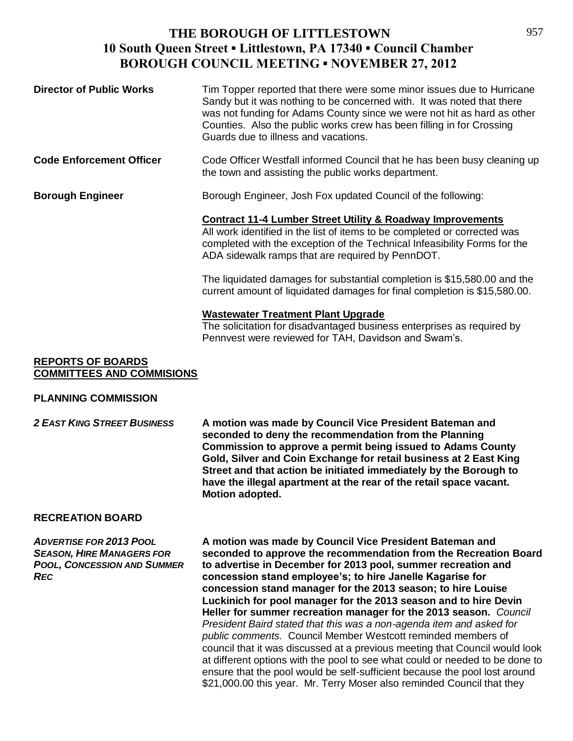| <b>Director of Public Works</b> | Tim Topper reported that there were some minor issues due to Hurricane<br>Sandy but it was nothing to be concerned with. It was noted that there<br>was not funding for Adams County since we were not hit as hard as other<br>Counties. Also the public works crew has been filling in for Crossing<br>Guards due to illness and vacations. |
|---------------------------------|----------------------------------------------------------------------------------------------------------------------------------------------------------------------------------------------------------------------------------------------------------------------------------------------------------------------------------------------|
| <b>Code Enforcement Officer</b> | Code Officer Westfall informed Council that he has been busy cleaning up<br>the town and assisting the public works department.                                                                                                                                                                                                              |
| <b>Borough Engineer</b>         | Borough Engineer, Josh Fox updated Council of the following:                                                                                                                                                                                                                                                                                 |
|                                 | <b>Contract 11-4 Lumber Street Utility &amp; Roadway Improvements</b><br>All work identified in the list of items to be completed or corrected was<br>completed with the exception of the Technical Infeasibility Forms for the<br>ADA sidewalk ramps that are required by PennDOT.                                                          |
|                                 | The liquidated damages for substantial completion is \$15,580.00 and the<br>current amount of liquidated damages for final completion is \$15,580.00.                                                                                                                                                                                        |
|                                 | <b>Wastewater Treatment Plant Upgrade</b><br>The solicitation for disadvantaged business enterprises as required by<br>Pennvest were reviewed for TAH, Davidson and Swam's.                                                                                                                                                                  |

#### **REPORTS OF BOARDS COMMITTEES AND COMMISIONS**

#### **PLANNING COMMISSION**

*2 EAST KING STREET BUSINESS* **A motion was made by Council Vice President Bateman and seconded to deny the recommendation from the Planning Commission to approve a permit being issued to Adams County Gold, Silver and Coin Exchange for retail business at 2 East King Street and that action be initiated immediately by the Borough to have the illegal apartment at the rear of the retail space vacant. Motion adopted.**

#### **RECREATION BOARD**

*ADVERTISE FOR 2013 POOL* **A motion was made by Council Vice President Bateman and**  *SEASON, HIRE MANAGERS FOR* **seconded to approve the recommendation from the Recreation Board**  *POOL, CONCESSION AND SUMMER* **to advertise in December for 2013 pool, summer recreation and**  *REC* **concession stand employee's; to hire Janelle Kagarise for concession stand manager for the 2013 season; to hire Louise Luckinich for pool manager for the 2013 season and to hire Devin Heller for summer recreation manager for the 2013 season.** *Council President Baird stated that this was a non-agenda item and asked for public comments.*Council Member Westcott reminded members of council that it was discussed at a previous meeting that Council would look at different options with the pool to see what could or needed to be done to ensure that the pool would be self-sufficient because the pool lost around \$21,000.00 this year.Mr. Terry Moser also reminded Council that they